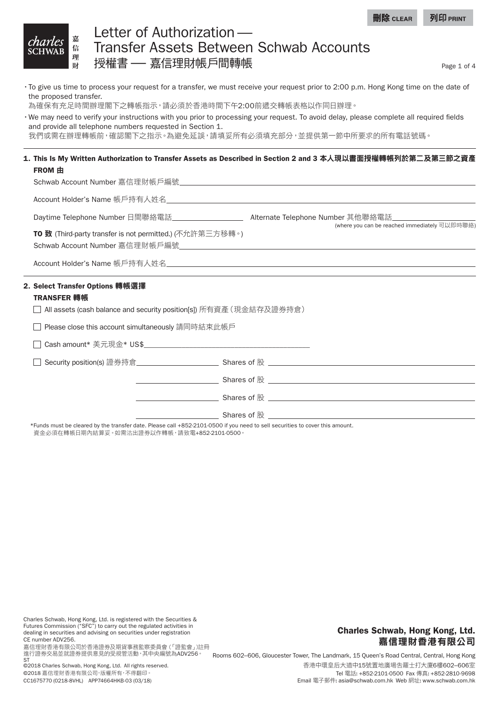| 理財 | Letter of Authorization —<br><i>charles</i> <b>Example 19 Authorization</b><br>SCHWAB <b>Example 2</b> Transfer Assets Between Schwab Accounts<br>授權書 —— 嘉信理財帳戶間轉帳 |
|----|--------------------------------------------------------------------------------------------------------------------------------------------------------------------|
|----|--------------------------------------------------------------------------------------------------------------------------------------------------------------------|

Page 1 of 4

- •To give us time to process your request for a transfer, we must receive your request prior to 2:00 p.m. Hong Kong time on the date of the proposed transfer.
- 為確保有充足時間辦理閣下之轉帳指示,請必須於香港時間下午2:00前遞交轉帳表格以作同日辦理。
- •We may need to verify your instructions with you prior to processing your request. To avoid delay, please complete all required fields and provide all telephone numbers requested in Section 1.
- 我們或需在辦理轉帳前,確認閣下之指示。為避免延誤,請填妥所有必須填充部分,並提供第一節中所要求的所有電話號碼。

#### 1. This Is My Written Authorization to Transfer Assets as Described in Section 2 and 3 本人現以書面授權轉帳列於第二及第三節之資產 FROM 由

Schwab Account Number 嘉信理財帳戶編號 

Account Holder's Name 帳戶持有人姓名 

Daytime Telephone Number 日間聯絡電話 Alternate Telephone Number 其他聯絡電話 (where you can be reached immediately 可以即時聯絡)

TO 致 (Third-party transfer is not permitted.) (不允許第三方移轉。) Schwab Account Number 嘉信理財帳戶編號 

Account Holder's Name 帳戶持有人姓名 

### 2. Select Transfer Options 轉帳選擇

#### TRANSFER 轉帳

All assets (cash balance and security position[s]) 所有資產(現金結存及證券持倉)

□ Please close this account simultaneously 請同時結束此帳戶

 $\Box$  Cash amount\* 美元現金\* US\$

□ Security position(s) 證券持倉 Shares of 股

Shares of 股

Shares of 股

\_ Shares of 股

\*Funds must be cleared by the transfer date. Please call +852-2101-0500 if you need to sell securities to cover this amount. 資金必須在轉帳日期內結算妥。如需沽出證券以作轉帳,請致電+852-2101-0500。

Charles Schwab, Hong Kong, Ltd. is registered with the Securities & Futures Commission ("SFC") to carry out the regulated activities in dealing in securities and advising on securities under registration CE number ADV256.

嘉信理財香港有限公司於香港證券及期貨事務監察委員會 (「證監會」)註冊 進行證券交易並就證券提供意見的受規管活動,其中央編號為ADV256。 ST

# Charles Schwab, Hong Kong, Ltd. 嘉信理財香港有限公司

Rooms 602–606, Gloucester Tower, The Landmark, 15 Queen's Road Central, Central, Hong Kong 香港中環皇后大道中15號置地廣場告羅士打大廈6樓602–606室 Tel 電話: +852-2101-0500 Fax 傳真: +852-2810-9698 Email 電子郵件: asia@schwab.com.hk Web 網址: www.schwab.com.hk

©2018 Charles Schwab, Hong Kong, Ltd. All rights reserved. ©2018 嘉信理財香港有限公司,版權所有,不得翻印。 CC1675770 (0218-8VHL) APP74664HKB-03 (03/18)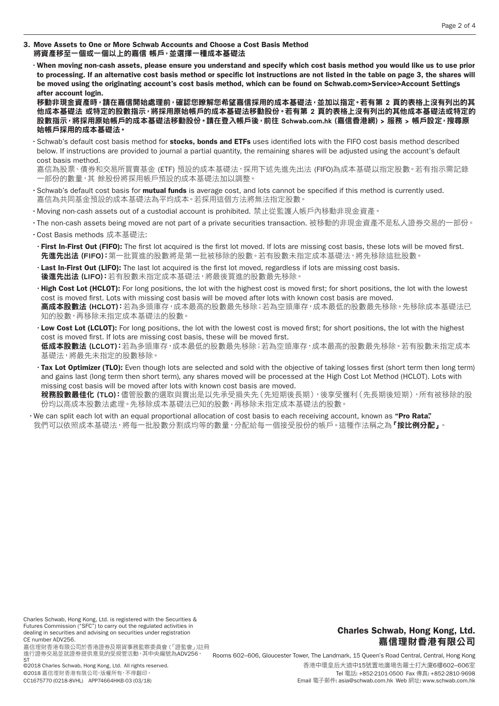- 3. Move Assets to One or More Schwab Accounts and Choose a Cost Basis Method 將資產移至一個或一個以上的嘉信 帳戶,並選擇一種成本基礎法
	- •When moving non-cash assets, please ensure you understand and specify which cost basis method you would like us to use prior to processing. If an alternative cost basis method or specific lot instructions are not listed in the table on page 3, the shares will be moved using the originating account's cost basis method, which can be found on Schwab.com>Service>Account Settings after account login.

移動非現金資產時,請在嘉信開始處理前,確認您瞭解您希望嘉信採用的成本基礎法,並加以指定。若有第 2 頁的表格上沒有列出的其 他成本基礎法 或特定的股數指示,將採用原始帳戶的成本基礎法移動股份。若有第 2 頁的表格上沒有列出的其他成本基礎法或特定的 股數指示,將採用原始帳戶的成本基礎法移動股份。請在登入帳戶後,前往 Schwab.com.hk (嘉信香港網) > 服務 > 帳戶設定,搜尋原 始帳戶採用的成本基礎法。

- · Schwab's default cost basis method for stocks, bonds and ETFs uses identified lots with the FIFO cost basis method described below. If instructions are provided to journal a partial quantity, the remaining shares will be adjusted using the account's default cost basis method.
- 嘉信為股票、債券和交易所買賣基金 (ETF) 預設的成本基礎法,採用下述先進先出法 (FIFO)為成本基礎以指定股數。若有指示需記錄 -部份的數量,其 餘股份將採用帳戶預設的成本基礎法加以調整。
- •Schwab's default cost basis for mutual funds is average cost, and lots cannot be specified if this method is currently used. 嘉信為共同基金預設的成本基礎法為平均成本。若採用這個方法將無法指定股數。
- •Moving non-cash assets out of a custodial account is prohibited. 禁止從監護人帳戶內移動非現金資產。
- •The non-cash assets being moved are not part of a private securities transaction. 被移動的非現金資產不是私人證券交易的一部份。
- •Cost Basis methods 成本基礎法:
- •First In-First Out (FIFO): The first lot acquired is the first lot moved. If lots are missing cost basis, these lots will be moved first. 先進先出法 (FIFO):第一批買進的股數將是第一批被移除的股數。若有股數未指定成本基礎法,將先移除這批股數。
- •Last In-First Out (LIFO): The last lot acquired is the first lot moved, regardless if lots are missing cost basis. 後進先出法 (LIFO): 若有股數未指定成本基礎法, 將最後買進的股數最先移除。
- High Cost Lot (HCLOT): For long positions, the lot with the highest cost is moved first; for short positions, the lot with the lowest cost is moved first. Lots with missing cost basis will be moved after lots with known cost basis are moved. 高成本股數法 (HCLOT):若為多頭庫存,成本最高的股數最先移除;若為空頭庫存,成本最低的股數最先移除。先移除成本基礎法已 知的股數,再移除未指定成本基礎法的股數。
- •Low Cost Lot (LCLOT): For long positions, the lot with the lowest cost is moved first; for short positions, the lot with the highest cost is moved first. If lots are missing cost basis, these will be moved first. 低成本股數法 (LCLOT): 若為多頭庫存,成本最低的股數最先移除; 若為空頭庫存,成本最高的股數最先移除。若有股數未指定成本 基礎法,將最先未指定的股數移除。
- · Tax Lot Optimizer (TLO): Even though lots are selected and sold with the objective of taking losses first (short term then long term) and gains last (long term then short term), any shares moved will be processed at the High Cost Lot Method (HCLOT). Lots with missing cost basis will be moved after lots with known cost basis are moved.

**稅務股數最佳化 (TLO):**儘管股數的選取與賣出是以先承受損失先 (先短期後長期), 後享受獲利 (先長期後短期), 所有被移除的股 份均以高成本股數法處理。先移除成本基礎法已知的股數,再移除未指定成本基礎法的股數。

•We can split each lot with an equal proportional allocation of cost basis to each receiving account, known as "Pro Rata". 我們可以依照成本基礎法,將每一批股數分割成均等的數量,分配給每一個接受股份的帳戶。這種作法稱之為**「按比例分配」**。

Charles Schwab, Hong Kong, Ltd. is registered with the Securities & Futures Commission ("SFC") to carry out the regulated activities in dealing in securities and advising on securities under registration CE number ADV256.

嘉信理財香港有限公司於香港證券及期貨事務監察委員會 (「證監會」)註冊 進行證券交易並就證券提供意見的受規管活動,其中央編號為ADV256。 ST

# Charles Schwab, Hong Kong, Ltd. 嘉信理財香港有限公司

Rooms 602–606, Gloucester Tower, The Landmark, 15 Queen's Road Central, Central, Hong Kong 香港中環皇后大道中15號置地廣場告羅士打大廈6樓602–606室 Tel 電話: +852-2101-0500 Fax 傳真: +852-2810-9698 Email 電子郵件: asia@schwab.com.hk Web 網址: www.schwab.com.hk

©2018 Charles Schwab, Hong Kong, Ltd. All rights reserved. ©2018 嘉信理財香港有限公司,版權所有,不得翻印。 CC1675770 (0218-8VHL) APP74664HKB-03 (03/18)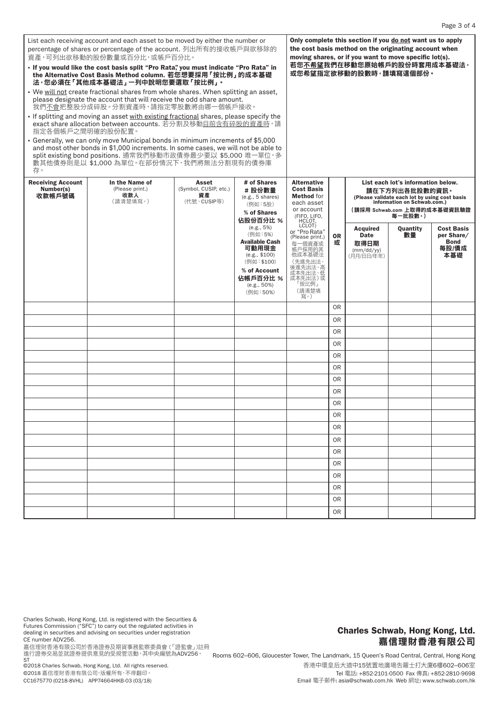| List each receiving account and each asset to be moved by either the number or<br>percentage of shares or percentage of the account. 列出所有的接收帳戶與欲移除的<br>資產,可列出欲移動的股份數量或百分比,或帳戶百分比。                                                                                                       | Only complete this section if you do not want us to apply<br>the cost basis method on the originating account when<br>moving shares, or if you want to move specific lot(s). |                                                                                                            |                                                                    |                                                                                          |                                                                |                                                                |  |                                                                                                                                                                                 |  |  |
|-----------------------------------------------------------------------------------------------------------------------------------------------------------------------------------------------------------------------------------------------------------------------------------------|------------------------------------------------------------------------------------------------------------------------------------------------------------------------------|------------------------------------------------------------------------------------------------------------|--------------------------------------------------------------------|------------------------------------------------------------------------------------------|----------------------------------------------------------------|----------------------------------------------------------------|--|---------------------------------------------------------------------------------------------------------------------------------------------------------------------------------|--|--|
| - If you would like the cost basis split "Pro Rata", you must indicate "Pro Rata" in<br>the Alternative Cost Basis Method column. 若您想要採用 「按比例」 的成本基礎<br>法,您必須在 「其他成本基礎法」 一列中說明您要選取 「按比例」。                                                                                               |                                                                                                                                                                              |                                                                                                            |                                                                    |                                                                                          | 若您 <u>不希望</u> 我們在移動您原始帳戶的股份時套用成本基礎法,<br>或您希望指定欲移動的股數時,請填寫這個部份。 |                                                                |  |                                                                                                                                                                                 |  |  |
| . We will not create fractional shares from whole shares. When splitting an asset,<br>please designate the account that will receive the odd share amount.<br>我們不會把整股分成碎股。分割資產時,請指定零股數將由哪一個帳戶接收。                                                                                        |                                                                                                                                                                              |                                                                                                            |                                                                    |                                                                                          |                                                                |                                                                |  |                                                                                                                                                                                 |  |  |
| If splitting and moving an asset with existing fractional shares, please specify the<br>exact share allocation between accounts. 若分割及移動目前含有碎股的資產時,請<br>指定各個帳戶之間明確的股份配置。                                                                                                                 |                                                                                                                                                                              |                                                                                                            |                                                                    |                                                                                          |                                                                |                                                                |  |                                                                                                                                                                                 |  |  |
| - Generally, we can only move Municipal bonds in minimum increments of \$5,000<br>and most other bonds in \$1,000 increments. In some cases, we will not be able to<br>split existing bond positions. 通常我們移動市政債券最少要以 \$5,000 唯一單位, 多<br>數其他債券則是以 \$1,000 為單位。在部份情況下,我們將無法分割現有的債券庫<br>存。 |                                                                                                                                                                              |                                                                                                            |                                                                    |                                                                                          |                                                                |                                                                |  |                                                                                                                                                                                 |  |  |
| <b>Receiving Account</b><br>Number(s)<br>收款帳戶號碼                                                                                                                                                                                                                                         | In the Name of<br>(Please print.)<br>收款人<br>(請清楚填寫。)                                                                                                                         | Asset<br>(Symbol, CUSIP, etc.)<br>資產<br>(代號、CUSIP等)                                                        | # of Shares<br>#股份數量<br>(e.g., 5 shares)<br>(例如:5股)<br>% of Shares | <b>Alternative</b><br><b>Cost Basis</b><br><b>Method</b> for<br>each asset<br>or account |                                                                | (FIFO, LIFO,<br>HCLOT,<br>LCLOT)                               |  | List each lot's information below.<br>請在下方列出各批股數的資訊。<br>(Please validate each lot by using cost basis<br>information on Schwab.com.)<br>(請採用 Schwab.com 上取得的成本基礎資訊驗證<br>每一批股數·) |  |  |
|                                                                                                                                                                                                                                                                                         | 佔股份百分比 %<br>(e.g., 5%)<br>(例如:5%)<br><b>Available Cash</b><br>可動用現金<br>(e.g., \$100)<br>(例如:\$100)<br>% of Account                                                           | or "Pro Rata"<br>(Please print.)<br>每一個資產或<br>帳戶採用的其<br>他成本基礎法<br>(先進先出法、<br>後進先出法、高<br>成本先出法、低<br>成本先出法)或 | <b>OR</b><br>或                                                     | <b>Acquired</b><br><b>Date</b><br>取得日期<br>(mm/dd/yy)<br>(月月/日日/年年)                       | Quantity<br>數量                                                 | <b>Cost Basis</b><br>per Share/<br><b>Bond</b><br>每股/債成<br>本基礎 |  |                                                                                                                                                                                 |  |  |
|                                                                                                                                                                                                                                                                                         |                                                                                                                                                                              |                                                                                                            | 佔帳戶百分比 %<br>$(e.g., 50\%)$<br>(例如:50%)                             | 「按比例」<br>(請清楚填<br>寫。)                                                                    |                                                                |                                                                |  |                                                                                                                                                                                 |  |  |
|                                                                                                                                                                                                                                                                                         |                                                                                                                                                                              |                                                                                                            |                                                                    |                                                                                          | 0 <sub>R</sub>                                                 |                                                                |  |                                                                                                                                                                                 |  |  |
|                                                                                                                                                                                                                                                                                         |                                                                                                                                                                              |                                                                                                            |                                                                    |                                                                                          | 0 <sub>R</sub>                                                 |                                                                |  |                                                                                                                                                                                 |  |  |
|                                                                                                                                                                                                                                                                                         |                                                                                                                                                                              |                                                                                                            |                                                                    |                                                                                          | 0 <sub>R</sub>                                                 |                                                                |  |                                                                                                                                                                                 |  |  |
|                                                                                                                                                                                                                                                                                         |                                                                                                                                                                              |                                                                                                            |                                                                    |                                                                                          | 0 <sub>R</sub>                                                 |                                                                |  |                                                                                                                                                                                 |  |  |
|                                                                                                                                                                                                                                                                                         |                                                                                                                                                                              |                                                                                                            |                                                                    |                                                                                          | 0 <sub>R</sub>                                                 |                                                                |  |                                                                                                                                                                                 |  |  |
|                                                                                                                                                                                                                                                                                         |                                                                                                                                                                              |                                                                                                            |                                                                    |                                                                                          | 0 <sub>R</sub>                                                 |                                                                |  |                                                                                                                                                                                 |  |  |
|                                                                                                                                                                                                                                                                                         |                                                                                                                                                                              |                                                                                                            |                                                                    |                                                                                          | 0 <sub>R</sub><br>0 <sub>R</sub>                               |                                                                |  |                                                                                                                                                                                 |  |  |
|                                                                                                                                                                                                                                                                                         |                                                                                                                                                                              |                                                                                                            |                                                                    |                                                                                          | 0 <sub>R</sub>                                                 |                                                                |  |                                                                                                                                                                                 |  |  |
|                                                                                                                                                                                                                                                                                         |                                                                                                                                                                              |                                                                                                            |                                                                    |                                                                                          | 0 <sub>R</sub>                                                 |                                                                |  |                                                                                                                                                                                 |  |  |
|                                                                                                                                                                                                                                                                                         |                                                                                                                                                                              |                                                                                                            |                                                                    |                                                                                          | 0 <sub>R</sub>                                                 |                                                                |  |                                                                                                                                                                                 |  |  |
|                                                                                                                                                                                                                                                                                         |                                                                                                                                                                              |                                                                                                            |                                                                    |                                                                                          | 0 <sub>R</sub>                                                 |                                                                |  |                                                                                                                                                                                 |  |  |
|                                                                                                                                                                                                                                                                                         |                                                                                                                                                                              |                                                                                                            |                                                                    |                                                                                          | 0 <sub>R</sub>                                                 |                                                                |  |                                                                                                                                                                                 |  |  |
|                                                                                                                                                                                                                                                                                         |                                                                                                                                                                              |                                                                                                            |                                                                    |                                                                                          | 0 <sub>R</sub>                                                 |                                                                |  |                                                                                                                                                                                 |  |  |
|                                                                                                                                                                                                                                                                                         |                                                                                                                                                                              |                                                                                                            |                                                                    |                                                                                          | <b>OR</b>                                                      |                                                                |  |                                                                                                                                                                                 |  |  |
|                                                                                                                                                                                                                                                                                         |                                                                                                                                                                              |                                                                                                            |                                                                    |                                                                                          | 0 <sub>R</sub>                                                 |                                                                |  |                                                                                                                                                                                 |  |  |
|                                                                                                                                                                                                                                                                                         |                                                                                                                                                                              |                                                                                                            |                                                                    |                                                                                          | 0 <sub>R</sub>                                                 |                                                                |  |                                                                                                                                                                                 |  |  |
|                                                                                                                                                                                                                                                                                         |                                                                                                                                                                              |                                                                                                            |                                                                    |                                                                                          | <b>OR</b>                                                      |                                                                |  |                                                                                                                                                                                 |  |  |

Charles Schwab, Hong Kong, Ltd. is registered with the Securities & Futures Commission ("SFC") to carry out the regulated activities in dealing in securities and advising on securities under registration CE number ADV256.

。<br>嘉信理財香港有限公司於香港證券及期貨事務監察委員會 ( 「證監會」 )註冊 進行證券交易並就證券提供意見的受規管活動,其中央編號為ADV256。

ST<br>©2018 Charles Schwab, Hong Kong, Ltd. All rights reserved. ©2018 嘉信理財香港有限公司,版權所有,不得翻印。 CC1675770 (0218-8VHL) APP74664HKB-03 (03/18)

## Charles Schwab, Hong Kong, Ltd. 嘉信理財香港有限公司

Rooms 602–606, Gloucester Tower, The Landmark, 15 Queen's Road Central, Central, Hong Kong 香港中環皇后大道中15號置地廣場告羅士打大廈6樓602–606室 Tel 電話: +852-2101-0500 Fax 傳真: +852-2810-9698 Email 電子郵件: asia@schwab.com.hk Web 網址: www.schwab.com.hk